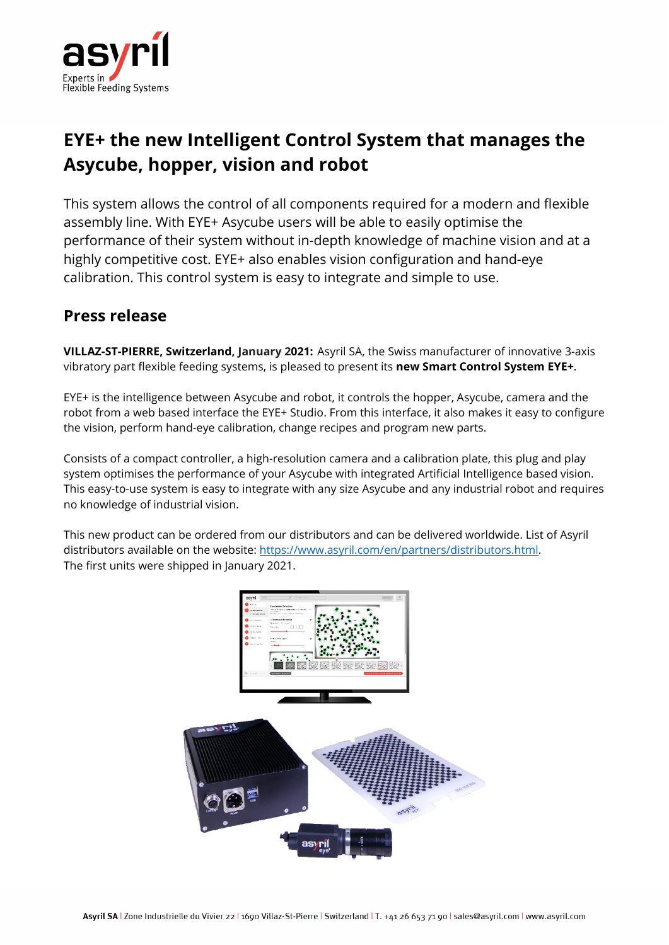

# **EYE+ the new Intelligent Control System that manages the Asycube, hopper, vision and robot**

This system allows the control of all components required for a modern and flexible assembly line. With EYE+ Asycube users will be able to easily optimise the performance of their system without in-depth knowledge of machine vision and at a highly competitive cost. EYE+ also enables vision configuration and hand-eye calibration. This control system is easy to integrate and simple to use.

# **Press release**

**VILLAZ-ST-PIERRE, Switzerland, January 2021:** Asyril SA, the Swiss manufacturer of innovative 3-axis vibratory part flexible feeding systems, is pleased to present its **new Smart Control System EYE+**.

EYE+ is the intelligence between Asycube and robot, it controls the hopper, Asycube, camera and the robot from a web based interface the EYE+ Studio. From this interface, it also makes it easy to configure the vision, perform hand-eye calibration, change recipes and program new parts.

Consists of a compact controller, a high-resolution camera and a calibration plate, this plug and play system optimises the performance of your Asycube with integrated Artificial Intelligence based vision. This easy-to-use system is easy to integrate with any size Asycube and any industrial robot and requires no knowledge of industrial vision.

This new product can be ordered from our distributors and can be delivered worldwide. List of Asyril distributors available on the website: [https://www.asyril.com/en/partners/distributors.html.](https://www.asyril.com/en/partners/distributors.html) The first units were shipped in January 2021.

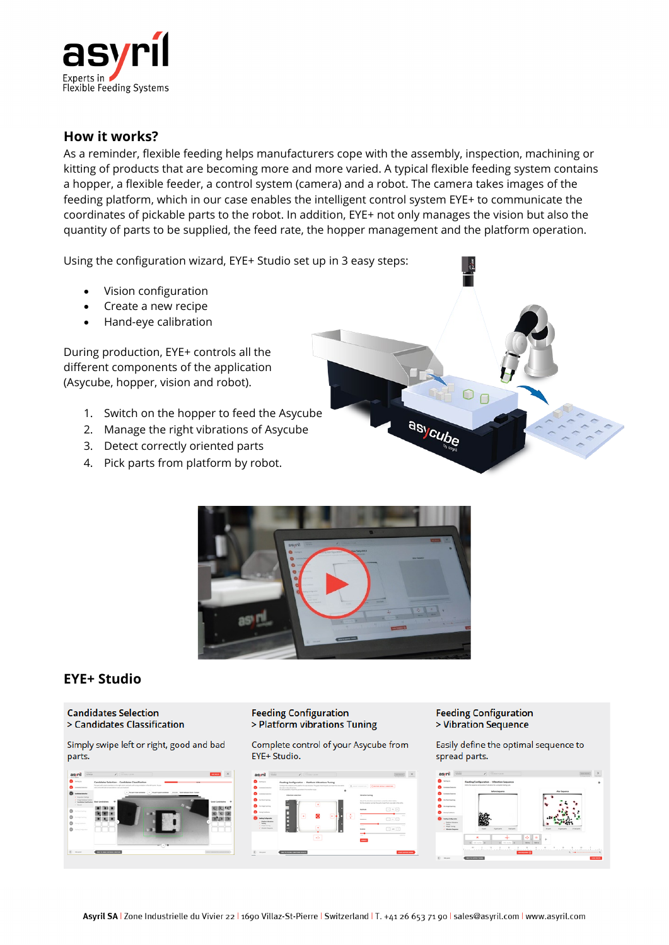

# **How it works?**

As a reminder, flexible feeding helps manufacturers cope with the assembly, inspection, machining or kitting of products that are becoming more and more varied. A typical flexible feeding system contains a hopper, a flexible feeder, a control system (camera) and a robot. The camera takes images of the feeding platform, which in our case enables the intelligent control system EYE+ to communicate the coordinates of pickable parts to the robot. In addition, EYE+ not only manages the vision but also the quantity of parts to be supplied, the feed rate, the hopper management and the platform operation.

Using the configuration wizard, EYE+ Studio set up in 3 easy steps:

- Vision configuration
- Create a new recipe
- Hand-eye calibration

During production, EYE+ controls all the different components of the application (Asycube, hopper, vision and robot).

- 1. Switch on the hopper to feed the Asycube
- 2. Manage the right vibrations of Asycube
- 3. Detect correctly oriented parts
- 4. Pick parts from platform by robot.



# **EYE+ Studio**

#### **Candidates Selection** > Candidates Classification

Simply swipe left or right, good and bad parts.



#### **Feeding Configuration** > Platform vibrations Tuning

Complete control of your Asycube from EYE+ Studio.



#### **Feeding Configuration** > Vibration Sequence

 $\Box$ 

asycube

Easily define the optimal sequence to spread parts.